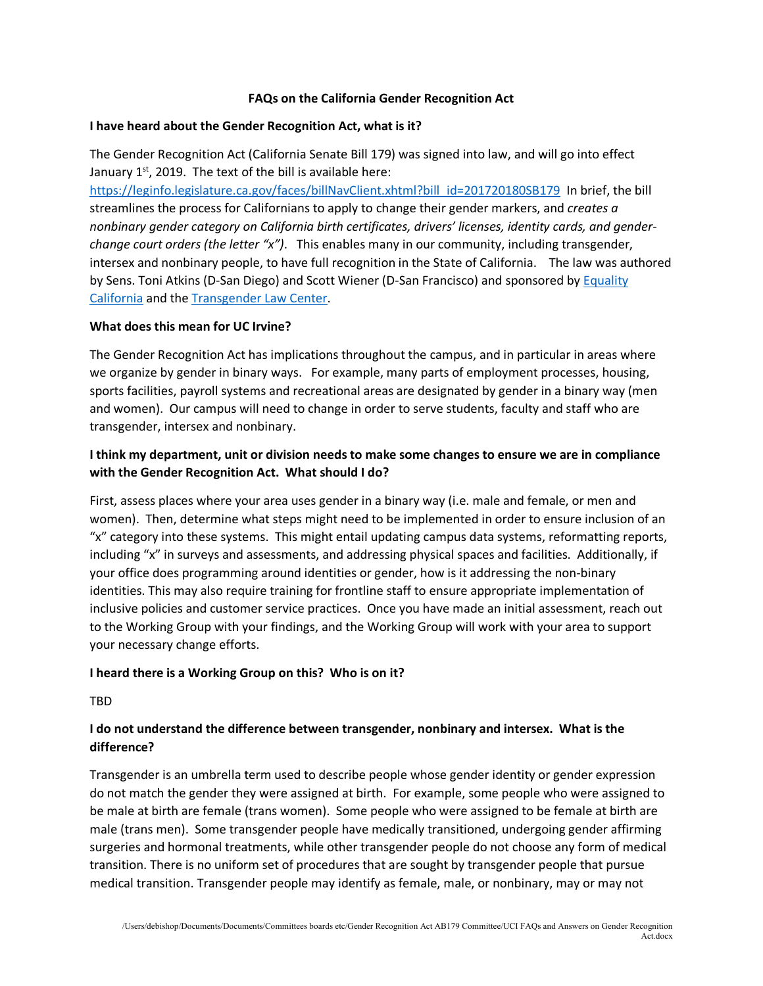## **FAQs on the California Gender Recognition Act**

### **I have heard about the Gender Recognition Act, what is it?**

The Gender Recognition Act (California Senate Bill 179) was signed into law, and will go into effect January  $1<sup>st</sup>$ , 2019. The text of the bill is available here:

https://leginfo.legislature.ca.gov/faces/billNavClient.xhtml?bill\_id=201720180SB179 In brief, the bill streamlines the process for Californians to apply to change their gender markers, and *creates a nonbinary gender category on California birth certificates, drivers' licenses, identity cards, and genderchange court orders (the letter "x")*. This enables many in our community, including transgender, intersex and nonbinary people, to have full recognition in the State of California. The law was authored by Sens. Toni Atkins (D-San Diego) and Scott Wiener (D-San Francisco) and sponsored by Equality California and the Transgender Law Center.

### **What does this mean for UC Irvine?**

The Gender Recognition Act has implications throughout the campus, and in particular in areas where we organize by gender in binary ways. For example, many parts of employment processes, housing, sports facilities, payroll systems and recreational areas are designated by gender in a binary way (men and women). Our campus will need to change in order to serve students, faculty and staff who are transgender, intersex and nonbinary.

## **I think my department, unit or division needs to make some changes to ensure we are in compliance with the Gender Recognition Act. What should I do?**

First, assess places where your area uses gender in a binary way (i.e. male and female, or men and women). Then, determine what steps might need to be implemented in order to ensure inclusion of an "x" category into these systems. This might entail updating campus data systems, reformatting reports, including "x" in surveys and assessments, and addressing physical spaces and facilities. Additionally, if your office does programming around identities or gender, how is it addressing the non-binary identities. This may also require training for frontline staff to ensure appropriate implementation of inclusive policies and customer service practices. Once you have made an initial assessment, reach out to the Working Group with your findings, and the Working Group will work with your area to support your necessary change efforts.

## **I heard there is a Working Group on this? Who is on it?**

TBD

# **I do not understand the difference between transgender, nonbinary and intersex. What is the difference?**

Transgender is an umbrella term used to describe people whose gender identity or gender expression do not match the gender they were assigned at birth. For example, some people who were assigned to be male at birth are female (trans women). Some people who were assigned to be female at birth are male (trans men). Some transgender people have medically transitioned, undergoing gender affirming surgeries and hormonal treatments, while other transgender people do not choose any form of medical transition. There is no uniform set of procedures that are sought by transgender people that pursue medical transition. Transgender people may identify as female, male, or nonbinary, may or may not